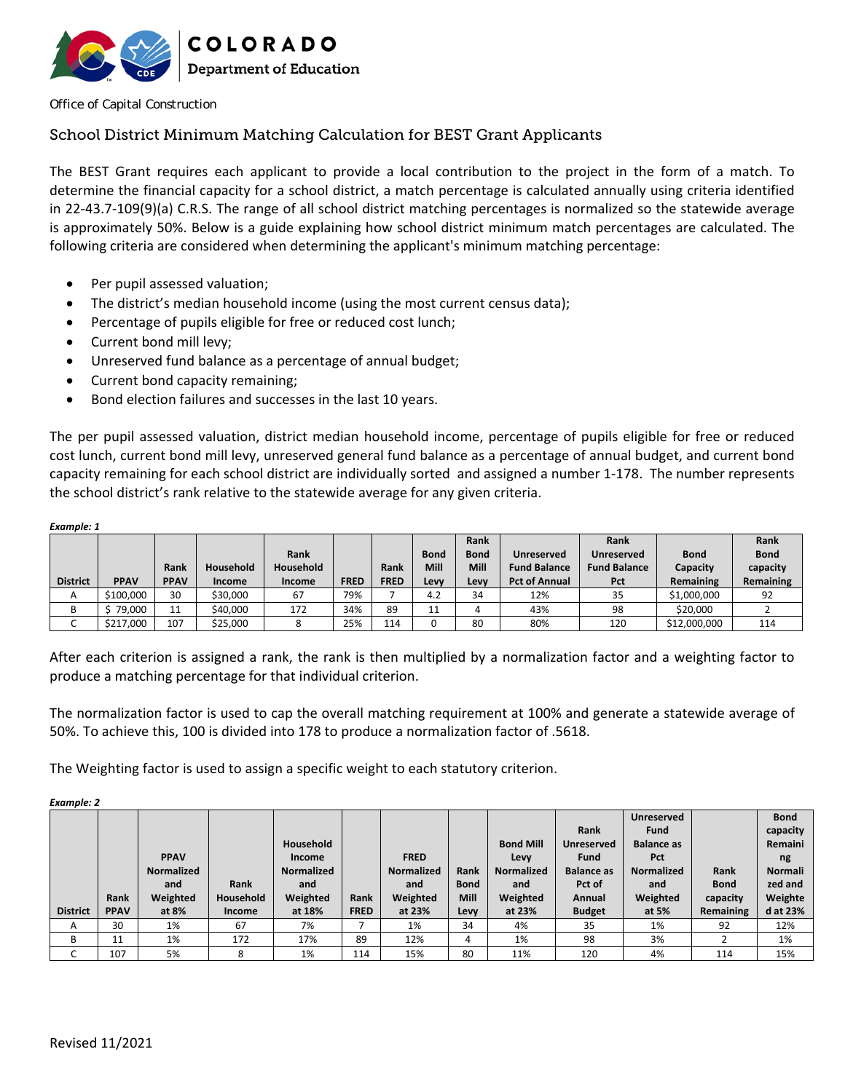

Office of Capital Construction

#### School District Minimum Matching Calculation for BEST Grant Applicants

The BEST Grant requires each applicant to provide a local contribution to the project in the form of a match. To determine the financial capacity for a school district, a match percentage is calculated annually using criteria identified in 22‐43.7‐109(9)(a) C.R.S. The range of all school district matching percentages is normalized so the statewide average is approximately 50%. Below is a guide explaining how school district minimum match percentages are calculated. The following criteria are considered when determining the applicant's minimum matching percentage:

- Per pupil assessed valuation;
- The district's median household income (using the most current census data);
- Percentage of pupils eligible for free or reduced cost lunch;
- Current bond mill levy;
- Unreserved fund balance as a percentage of annual budget;
- Current bond capacity remaining;
- Bond election failures and successes in the last 10 years.

The per pupil assessed valuation, district median household income, percentage of pupils eligible for free or reduced cost lunch, current bond mill levy, unreserved general fund balance as a percentage of annual budget, and current bond capacity remaining for each school district are individually sorted and assigned a number 1‐178. The number represents the school district's rank relative to the statewide average for any given criteria.

| Example: 1      |             |             |           |           |             |             |             |             |                      |                     |              |             |
|-----------------|-------------|-------------|-----------|-----------|-------------|-------------|-------------|-------------|----------------------|---------------------|--------------|-------------|
|                 |             |             |           |           |             |             |             | Rank        |                      | Rank                |              | Rank        |
|                 |             |             |           | Rank      |             |             | <b>Bond</b> | <b>Bond</b> | Unreserved           | Unreserved          | <b>Bond</b>  | <b>Bond</b> |
|                 |             | Rank        | Household | Household |             | Rank        | Mill        | <b>Mill</b> | <b>Fund Balance</b>  | <b>Fund Balance</b> | Capacity     | capacity    |
| <b>District</b> | <b>PPAV</b> | <b>PPAV</b> | Income    | Income    | <b>FRED</b> | <b>FRED</b> | Levy        | Levy        | <b>Pct of Annual</b> | Pct                 | Remaining    | Remaining   |
| A               | \$100.000   | 30          | \$30,000  | 67        | 79%         |             | 4.2         | 34          | 12%                  | 35                  | \$1,000,000  | 92          |
| В               | 79,000      | 11          | \$40,000  | 172       | 34%         | 89          | 11          | 4           | 43%                  | 98                  | \$20,000     |             |
| ◡               | \$217,000   | 107         | \$25,000  |           | 25%         | 114         | 0           | 80          | 80%                  | 120                 | \$12,000,000 | 114         |

After each criterion is assigned a rank, the rank is then multiplied by a normalization factor and a weighting factor to produce a matching percentage for that individual criterion.

The normalization factor is used to cap the overall matching requirement at 100% and generate a statewide average of 50%. To achieve this, 100 is divided into 178 to produce a normalization factor of .5618.

The Weighting factor is used to assign a specific weight to each statutory criterion.

*Example: 2* 

|                 |             |                   |           |                   |             |                   |             |                  |                   | Unreserved        |             | <b>Bond</b>    |
|-----------------|-------------|-------------------|-----------|-------------------|-------------|-------------------|-------------|------------------|-------------------|-------------------|-------------|----------------|
|                 |             |                   |           |                   |             |                   |             |                  | Rank              | <b>Fund</b>       |             | capacity       |
|                 |             |                   |           | Household         |             |                   |             | <b>Bond Mill</b> | Unreserved        | <b>Balance as</b> |             | <b>Remaini</b> |
|                 |             | <b>PPAV</b>       |           | Income            |             | <b>FRED</b>       |             | Levy             | <b>Fund</b>       | Pct               |             | ng             |
|                 |             | <b>Normalized</b> |           | <b>Normalized</b> |             | <b>Normalized</b> | Rank        | Normalized       | <b>Balance as</b> | <b>Normalized</b> | Rank        | <b>Normali</b> |
|                 |             | and               | Rank      | and               |             | and               | <b>Bond</b> | and              | Pct of            | and               | <b>Bond</b> | zed and        |
|                 | Rank        | Weighted          | Household | Weighted          | Rank        | Weighted          | <b>Mill</b> | Weighted         | Annual            | Weighted          | capacity    | Weighte        |
| <b>District</b> | <b>PPAV</b> | at 8%             | Income    | at 18%            | <b>FRED</b> | at 23%            | Levy        | at 23%           | <b>Budget</b>     | at 5%             | Remaining   | d at 23%       |
| A               | 30          | 1%                | 67        | 7%                |             | 1%                | 34          | 4%               | 35                | 1%                | 92          | 12%            |
| В               | 11          | 1%                | 172       | 17%               | 89          | 12%               | 4           | 1%               | 98                | 3%                | ∍           | 1%             |
|                 | 107         | 5%                | 8         | 1%                | 114         | 15%               | 80          | 11%              | 120               | 4%                | 114         | 15%            |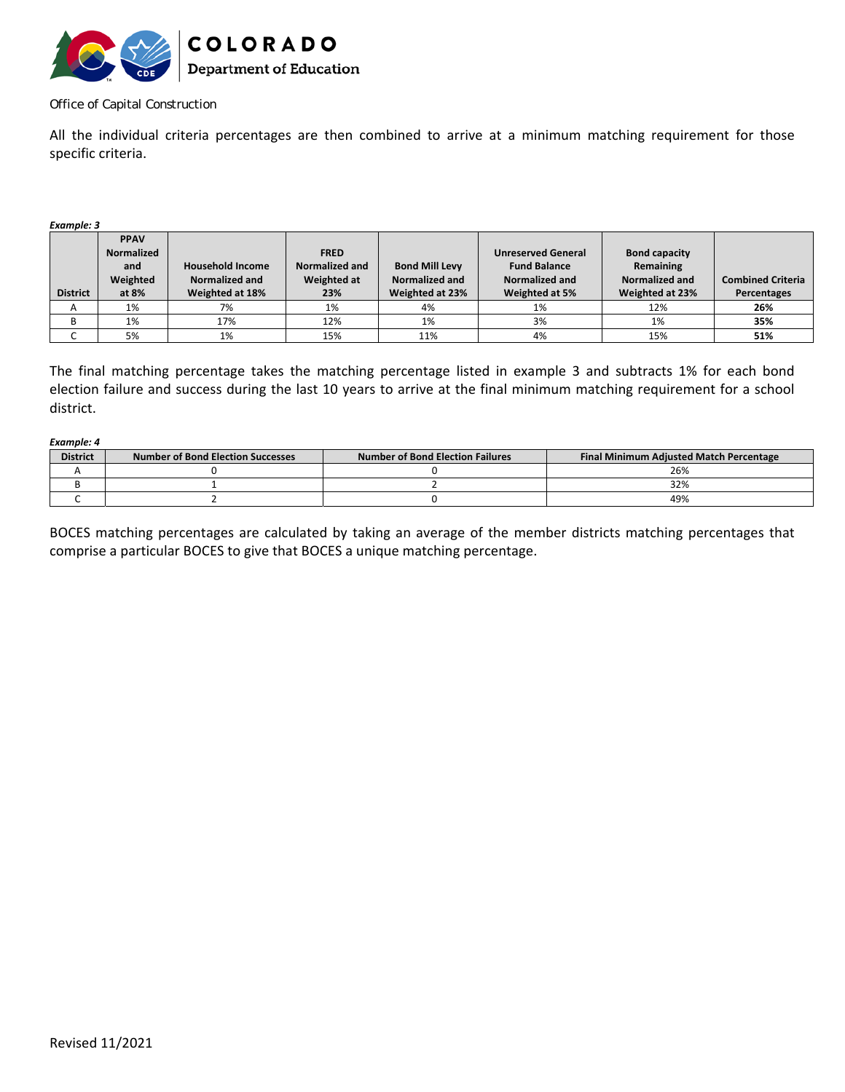

#### Office of Capital Construction

All the individual criteria percentages are then combined to arrive at a minimum matching requirement for those specific criteria.

*Example: 3* 

|                 | <b>PPAV</b> |                         |                |                       |                           |                      |                          |
|-----------------|-------------|-------------------------|----------------|-----------------------|---------------------------|----------------------|--------------------------|
|                 | Normalized  |                         | <b>FRED</b>    |                       | <b>Unreserved General</b> | <b>Bond capacity</b> |                          |
|                 | and         | <b>Household Income</b> | Normalized and | <b>Bond Mill Levy</b> | <b>Fund Balance</b>       | Remaining            |                          |
|                 | Weighted    | Normalized and          | Weighted at    | Normalized and        | Normalized and            | Normalized and       | <b>Combined Criteria</b> |
| <b>District</b> | at 8%       | Weighted at 18%         | 23%            | Weighted at 23%       | Weighted at 5%            | Weighted at 23%      | Percentages              |
|                 |             |                         |                |                       |                           |                      |                          |
| A               | 1%          | 7%                      | 1%             | 4%                    | 1%                        | 12%                  | 26%                      |
|                 | 1%          | 17%                     | 12%            | 1%                    | 3%                        | 1%                   | 35%                      |

The final matching percentage takes the matching percentage listed in example 3 and subtracts 1% for each bond election failure and success during the last 10 years to arrive at the final minimum matching requirement for a school district.

*Example: 4*  **District | Number of Bond Election Successes | Number of Bond Election Failures | Final Minimum Adjusted Match Percentage** A | 0 0 0 0 0 26% B  $1$  32% C 2 0 49%

BOCES matching percentages are calculated by taking an average of the member districts matching percentages that comprise a particular BOCES to give that BOCES a unique matching percentage.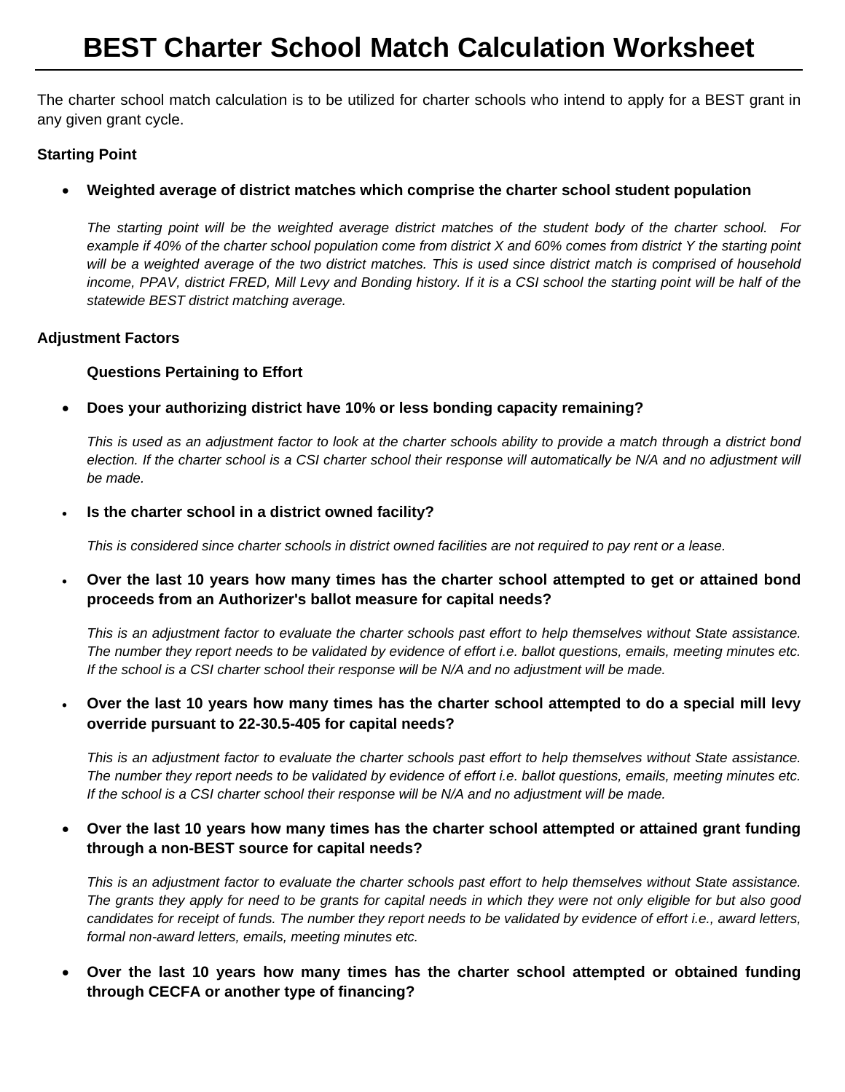# **BEST Charter School Match Calculation Worksheet**

The charter school match calculation is to be utilized for charter schools who intend to apply for a BEST grant in any given grant cycle.

#### **Starting Point**

#### **Weighted average of district matches which comprise the charter school student population**

*The starting point will be the weighted average district matches of the student body of the charter school. For example if 40% of the charter school population come from district X and 60% comes from district Y the starting point will be a weighted average of the two district matches. This is used since district match is comprised of household*  income, PPAV, district FRED, Mill Levy and Bonding history. If it is a CSI school the starting point will be half of the *statewide BEST district matching average.* 

#### **Adjustment Factors**

#### **Questions Pertaining to Effort**

**Does your authorizing district have 10% or less bonding capacity remaining?** 

*This is used as an adjustment factor to look at the charter schools ability to provide a match through a district bond*  election. If the charter school is a CSI charter school their response will automatically be N/A and no adjustment will *be made.*

**Is the charter school in a district owned facility?** 

*This is considered since charter schools in district owned facilities are not required to pay rent or a lease.* 

 **Over the last 10 years how many times has the charter school attempted to get or attained bond proceeds from an Authorizer's ballot measure for capital needs?** 

*This is an adjustment factor to evaluate the charter schools past effort to help themselves without State assistance. The number they report needs to be validated by evidence of effort i.e. ballot questions, emails, meeting minutes etc. If the school is a CSI charter school their response will be N/A and no adjustment will be made.* 

#### **Over the last 10 years how many times has the charter school attempted to do a special mill levy override pursuant to 22-30.5-405 for capital needs?**

*This is an adjustment factor to evaluate the charter schools past effort to help themselves without State assistance. The number they report needs to be validated by evidence of effort i.e. ballot questions, emails, meeting minutes etc. If the school is a CSI charter school their response will be N/A and no adjustment will be made.* 

### **Over the last 10 years how many times has the charter school attempted or attained grant funding through a non-BEST source for capital needs?**

*This is an adjustment factor to evaluate the charter schools past effort to help themselves without State assistance. The grants they apply for need to be grants for capital needs in which they were not only eligible for but also good candidates for receipt of funds. The number they report needs to be validated by evidence of effort i.e., award letters, formal non-award letters, emails, meeting minutes etc.* 

### **Over the last 10 years how many times has the charter school attempted or obtained funding through CECFA or another type of financing?**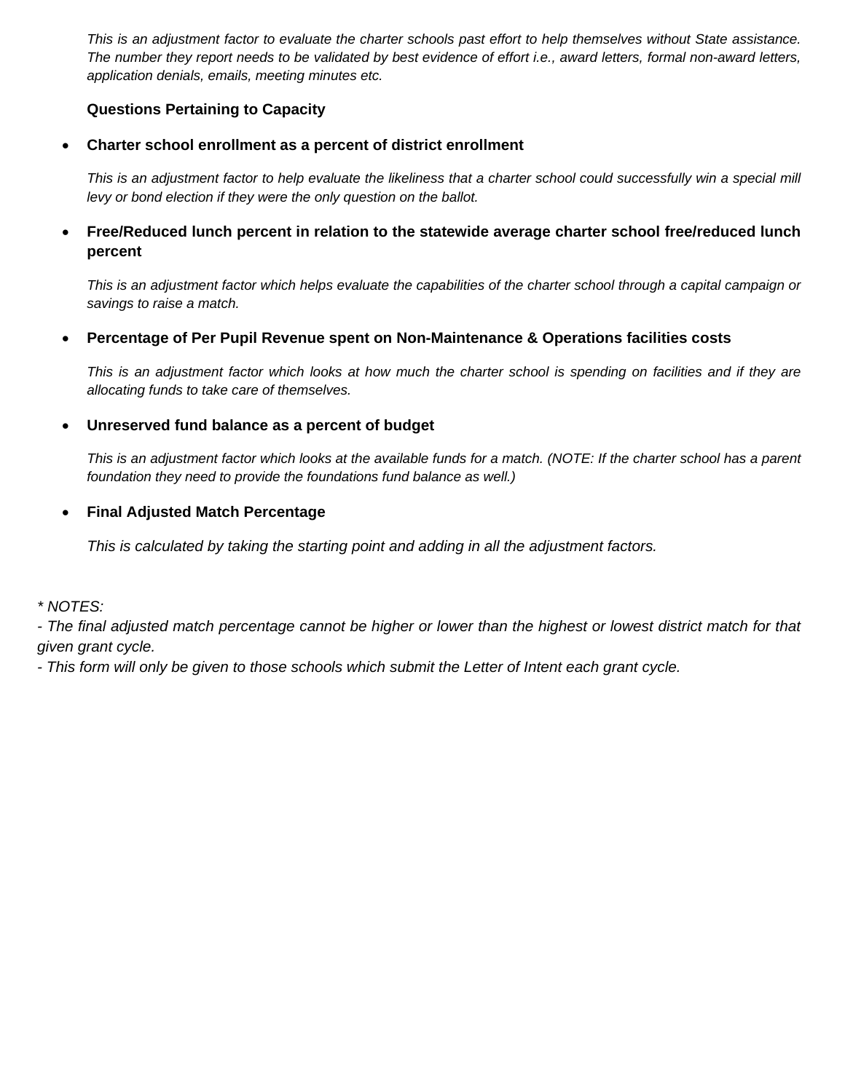*This is an adjustment factor to evaluate the charter schools past effort to help themselves without State assistance. The number they report needs to be validated by best evidence of effort i.e., award letters, formal non-award letters, application denials, emails, meeting minutes etc.*

#### **Questions Pertaining to Capacity**

**Charter school enrollment as a percent of district enrollment**

*This is an adjustment factor to help evaluate the likeliness that a charter school could successfully win a special mill levy or bond election if they were the only question on the ballot.* 

 **Free/Reduced lunch percent in relation to the statewide average charter school free/reduced lunch percent**

*This is an adjustment factor which helps evaluate the capabilities of the charter school through a capital campaign or savings to raise a match.* 

**Percentage of Per Pupil Revenue spent on Non-Maintenance & Operations facilities costs**

*This is an adjustment factor which looks at how much the charter school is spending on facilities and if they are allocating funds to take care of themselves.* 

# **Unreserved fund balance as a percent of budget**

*This is an adjustment factor which looks at the available funds for a match. (NOTE: If the charter school has a parent foundation they need to provide the foundations fund balance as well.)* 

# **Final Adjusted Match Percentage**

*This is calculated by taking the starting point and adding in all the adjustment factors.* 

*\* NOTES:* 

*- The final adjusted match percentage cannot be higher or lower than the highest or lowest district match for that given grant cycle.* 

*- This form will only be given to those schools which submit the Letter of Intent each grant cycle.*